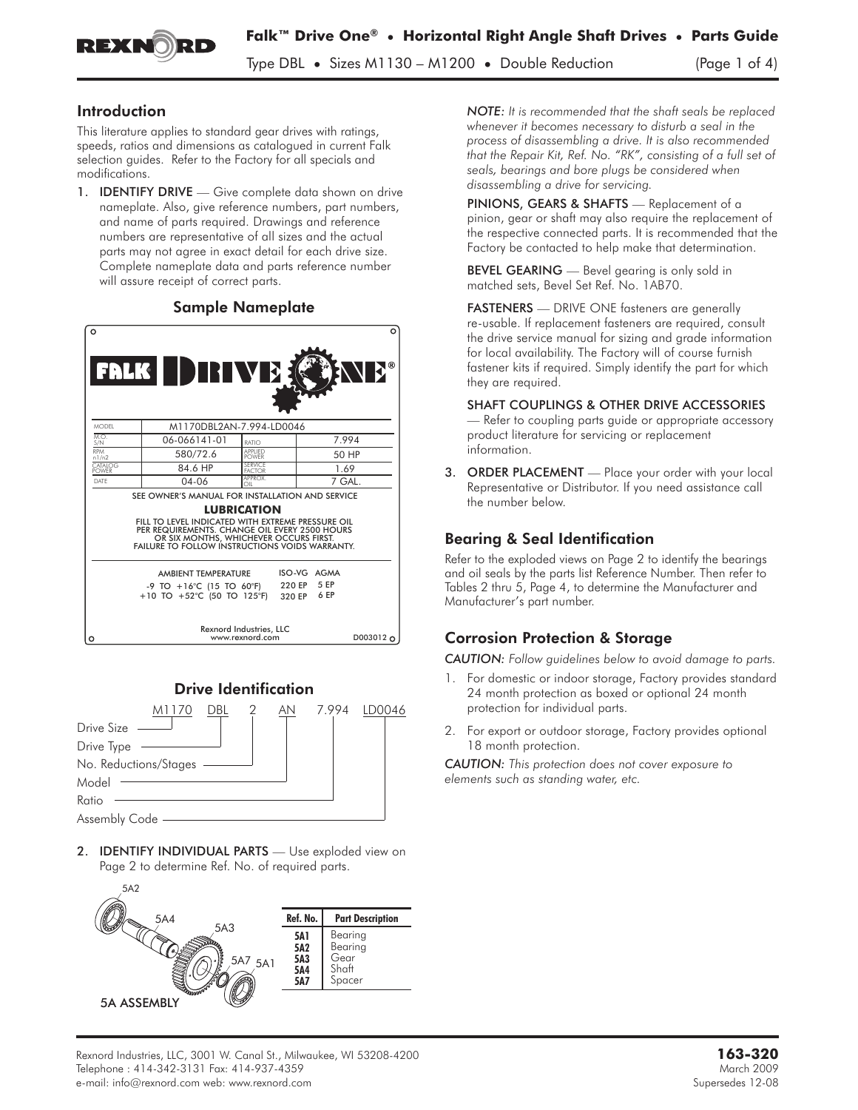

### Introduction

This literature applies to standard gear drives with ratings, speeds, ratios and dimensions as catalogued in current Falk selection guides. Refer to the Factory for all specials and modifications.

1. **IDENTIFY DRIVE** — Give complete data shown on drive nameplate. Also, give reference numbers, part numbers, and name of parts required. Drawings and reference numbers are representative of all sizes and the actual parts may not agree in exact detail for each drive size. Complete nameplate data and parts reference number will assure receipt of correct parts.

### Sample Nameplate

| $\Omega$                                                                                                                                                                                                                                                                       | FALK DELVE                                                                    |                                            | <b>NE®</b>                  |
|--------------------------------------------------------------------------------------------------------------------------------------------------------------------------------------------------------------------------------------------------------------------------------|-------------------------------------------------------------------------------|--------------------------------------------|-----------------------------|
| M1170DBL2AN-7.994-LD0046<br><b>MODEL</b>                                                                                                                                                                                                                                       |                                                                               |                                            |                             |
| MO<br>S/N                                                                                                                                                                                                                                                                      | 06-066141-01                                                                  | RATIO                                      | 7.994                       |
| RPM<br>n1/n2                                                                                                                                                                                                                                                                   | 580/72.6                                                                      | <b>APPLIED</b><br><b>POWER</b>             | 50 HP                       |
| CATALOG<br><b>POWER</b>                                                                                                                                                                                                                                                        | 84.6 HP                                                                       | <b>SERVICE</b><br><b>FACTOR</b>            | 1.69                        |
| DATE                                                                                                                                                                                                                                                                           | $04 - 06$                                                                     | APPROX<br>ЮI                               | 7 GAL.                      |
| SEE OWNER'S MANUAL FOR INSTALLATION AND SERVICE<br><b>LUBRICATION</b><br>FILL TO LEVEL INDICATED WITH EXTREME PRESSURE OIL<br>PER REQUIREMENTS. CHANGE OIL EVERY 2500 HOURS<br>OR SIX MONTHS, WHICHEVER OCCURS FIRST.<br><b>FAILURE TO FOLLOW INSTRUCTIONS VOIDS WARRANTY.</b> |                                                                               |                                            |                             |
|                                                                                                                                                                                                                                                                                | AMBIENT TEMPERATURE<br>-9 TO +16°C (15 TO 60°F)<br>+10 TO +52°C (50 TO 125°F) | 220 EP<br>320 EP                           | ISO-VG AGMA<br>5 EP<br>6 EP |
| $\circ$                                                                                                                                                                                                                                                                        |                                                                               | Rexnord Industries, LLC<br>www.rexnord.com | D003012 O                   |



2. **IDENTIFY INDIVIDUAL PARTS** - Use exploded view on Page 2 to determine Ref. No. of required parts.



pinion, gear or shaft may also require the replacement of the respective connected parts. It is recommended that the

Factory be contacted to help make that determination.<br>**BEVEL GEARING** — Bevel gearing is only sold in<br>matched sets, Bevel Set Ref. No. 1AB70.<br>**FASTENERS** — DRIVE ONE fasteners are generally BEVEL GEARING - Bevel gearing is only sold in matched sets, Bevel Set Ref. No. 1AB70.

re-usable. If replacement fasteners are required, consult the drive service manual for sizing and grade information for local availability. The Factory will of course furnish fastener kits if required. Simply identify the part for which they are required.

#### SHAFT COUPLINGS & OTHER DRIVE ACCESSORIES

 Refer to coupling parts guide or appropriate accessory product literature for servicing or replacement information.

3. ORDER PLACEMENT **—** Place your order with your local Representative or Distributor. If you need assistance call the number below.

### Bearing & Seal Identification

Refer to the exploded views on Page 2 to identify the bearings and oil seals by the parts list Reference Number. Then refer to Tables 2 thru 5, Page 4, to determine the Manufacturer and Manufacturer's part number.

### Corrosion Protection & Storage

*CAUTION: Follow guidelines below to avoid damage to parts.*

- 1. For domestic or indoor storage, Factory provides standard 24 month protection as boxed or optional 24 month protection for individual parts.
- 2. For export or outdoor storage, Factory provides optional 18 month protection.

*CAUTION: This protection does not cover exposure to elements such as standing water, etc.*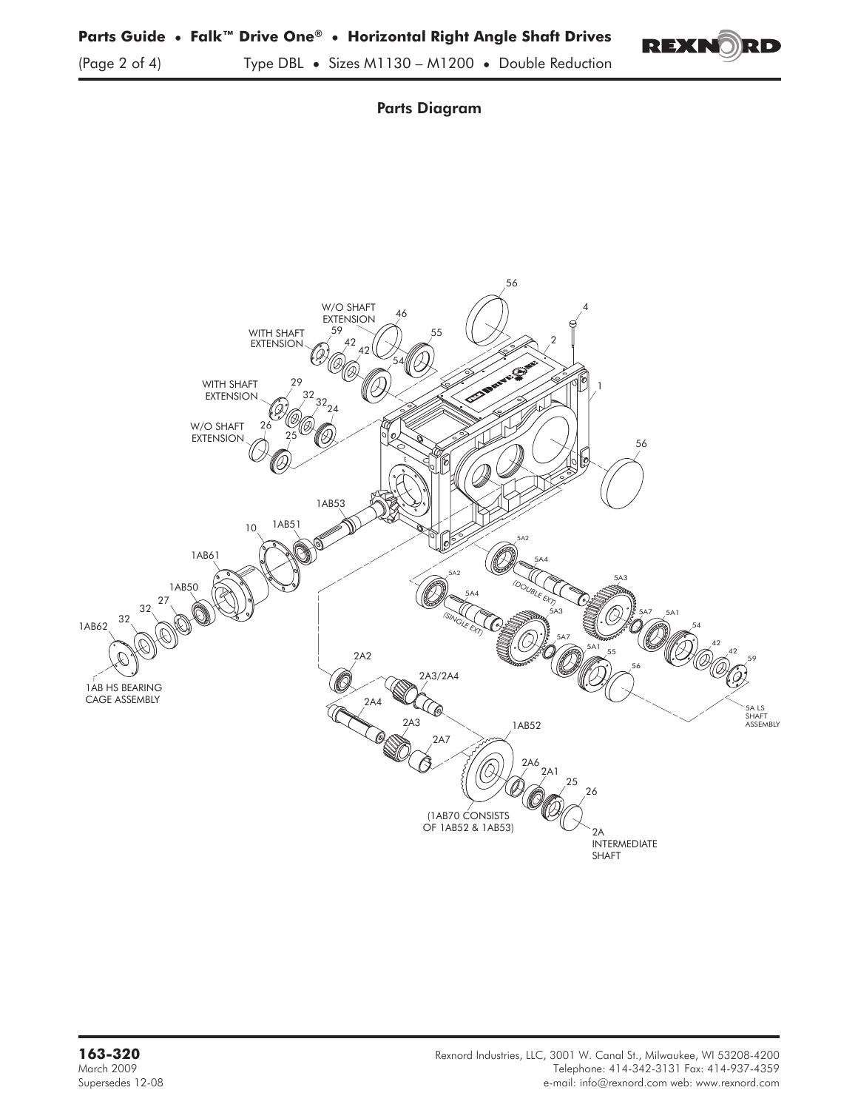

## Parts Diagram

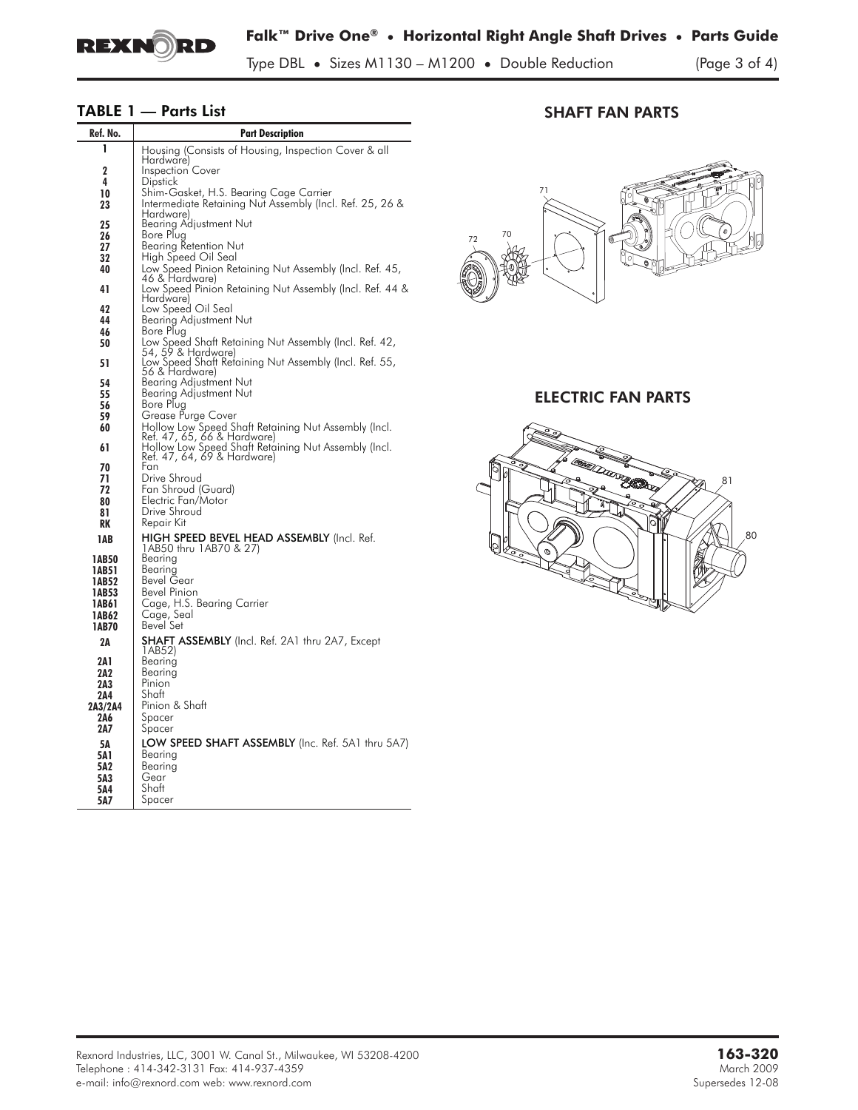

Type DBL **•** Sizes M1130 – M1200 **•** Double Reduction (Page 3 of 4)

# **TABLE 1 — Parts List**

| Ref. No.       | <b>Part Description</b>                                                                                                                |  |  |
|----------------|----------------------------------------------------------------------------------------------------------------------------------------|--|--|
| 1              | Housing (Consists of Housing, Inspection Cover & all                                                                                   |  |  |
| $\mathbf 2$    | Hardware)<br><b>Inspection Cover</b>                                                                                                   |  |  |
| 4              | Dipstick                                                                                                                               |  |  |
| 10             | Shim-Gasket, H.S. Bearing Cage Carrier                                                                                                 |  |  |
| 23             | Intermediate Retaining Nut Assembly (Incl. Ref. 25, 26 &                                                                               |  |  |
| 25             | Hardware)<br>Bearing Adjustment Nut                                                                                                    |  |  |
| 26             | Bore Plua                                                                                                                              |  |  |
| 27             | Bearing Retention Nut                                                                                                                  |  |  |
| 32<br>40       | High Speed Oil Seal<br>Low Speed Pinion Retaining Nut Assembly (Incl. Ref. 45,                                                         |  |  |
|                | 46 & Hardware)<br>Low Speed Pinion Retaining Nut Assembly (Incl. Ref. 44 &                                                             |  |  |
| 41             | Hardware)                                                                                                                              |  |  |
| 42             | Low Speed Oil Seal                                                                                                                     |  |  |
| 44             | Bearing Adjustment Nut                                                                                                                 |  |  |
| 46             | Bore Plug                                                                                                                              |  |  |
| 50             | Low Speed Shaft Retaining Nut Assembly (Incl. Ref. 42,<br>54, 59 & Hardware)<br>Low Speed Shaft Retaining Nut Assembly (Incl. Ref. 55, |  |  |
| 51             |                                                                                                                                        |  |  |
| 54             | 56 & Hardware)<br>Bearing Adjustment Nut                                                                                               |  |  |
| 55             | Bearing Adjustment Nut                                                                                                                 |  |  |
| 56             | Bore Plug                                                                                                                              |  |  |
| 59             | Grease Purge Cover                                                                                                                     |  |  |
| 60             | Hollow Low Speed Shaft Retaining Nut Assembly (Incl.                                                                                   |  |  |
| 61             | Ref. 47, 65, 66 & Hardware)<br>Hollow Low Speed Shaft Retaining Nut Assembly (Incl.<br>Ref. 47, 64, 69 & Hardware)                     |  |  |
| 70             | Fan                                                                                                                                    |  |  |
| 71             | Drive Shroud                                                                                                                           |  |  |
| 72             | Fan Shroud (Guard)                                                                                                                     |  |  |
| 80<br>81       | Electric Fan/Motor<br>Drive Shroud                                                                                                     |  |  |
| RK             | Repair Kit                                                                                                                             |  |  |
| 1AB            | <b>HIGH SPEED BEVEL HEAD ASSEMBLY (Incl. Ref.</b>                                                                                      |  |  |
| 1AB50          | 1AB50 thru 1AB70 & 27)<br>Bearing                                                                                                      |  |  |
| 1AB51          | Bearing                                                                                                                                |  |  |
| 1AB52          | Bevel Gear                                                                                                                             |  |  |
| 1AB53          | Bevel Pinion                                                                                                                           |  |  |
| 1AB61<br>1AB62 | Cage, H.S. Bearing Carrier<br>Cage, Seal                                                                                               |  |  |
| 1AB70          | <b>Bevel Set</b>                                                                                                                       |  |  |
| 2Α             | <b>SHAFT ASSEMBLY</b> (Incl. Ref. 2A1 thru 2A7, Except                                                                                 |  |  |
| 2A1            | 1AB52)<br>Bearing                                                                                                                      |  |  |
| 2A2            | Bearing                                                                                                                                |  |  |
| 2A3            | Pinion                                                                                                                                 |  |  |
| 2A4            | Shaft<br>Pinion & Shaft                                                                                                                |  |  |
| 2A3/2A4<br>2A6 | Spacer                                                                                                                                 |  |  |
| 2A7            | Spacer                                                                                                                                 |  |  |
| 5Α             | LOW SPEED SHAFT ASSEMBLY (Inc. Ref. 5A1 thru 5A7)                                                                                      |  |  |
| 5A 1           | Bearing                                                                                                                                |  |  |
| 5A2<br>5A3     | Bearing<br>Gear                                                                                                                        |  |  |
| 5A4            | Shatt                                                                                                                                  |  |  |
| <b>5A7</b>     | Spacer                                                                                                                                 |  |  |

### SHAFT FAN PARTS



ELECTRIC FAN PARTS